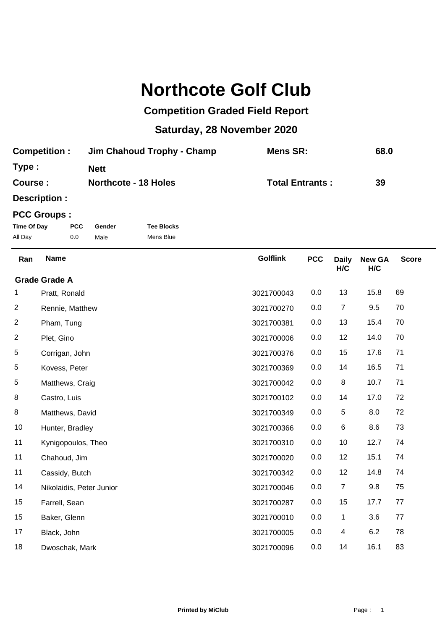## **Northcote Golf Club**

## **Competition Graded Field Report**

## **Saturday, 28 November 2020**

| <b>Competition:</b> | Jim Chahoud Trophy - Champ  | Mens SR:               | 68.0 |
|---------------------|-----------------------------|------------------------|------|
| Type:               | <b>Nett</b>                 |                        |      |
| Course:             | <b>Northcote - 18 Holes</b> | <b>Total Entrants:</b> | 39   |

**Description :**

## **PCC Groups :**

| Time Of Day | <b>PCC</b> | Gender | <b>Tee Blocks</b> |
|-------------|------------|--------|-------------------|
| All Day     | 0.0        | Male   | Mens Blue         |

| Ran | <b>Name</b>              | <b>Golflink</b> | <b>PCC</b> | <b>Daily</b><br>H/C | <b>New GA</b><br>H/C | <b>Score</b> |
|-----|--------------------------|-----------------|------------|---------------------|----------------------|--------------|
|     | <b>Grade Grade A</b>     |                 |            |                     |                      |              |
| 1   | Pratt, Ronald            | 3021700043      | 0.0        | 13                  | 15.8                 | 69           |
| 2   | Rennie, Matthew          | 3021700270      | 0.0        | $\overline{7}$      | 9.5                  | 70           |
| 2   | Pham, Tung               | 3021700381      | 0.0        | 13                  | 15.4                 | 70           |
| 2   | Plet, Gino               | 3021700006      | 0.0        | 12                  | 14.0                 | 70           |
| 5   | Corrigan, John           | 3021700376      | 0.0        | 15                  | 17.6                 | 71           |
| 5   | Kovess, Peter            | 3021700369      | 0.0        | 14                  | 16.5                 | 71           |
| 5   | Matthews, Craig          | 3021700042      | 0.0        | 8                   | 10.7                 | 71           |
| 8   | Castro, Luis             | 3021700102      | 0.0        | 14                  | 17.0                 | 72           |
| 8   | Matthews, David          | 3021700349      | 0.0        | 5                   | 8.0                  | 72           |
| 10  | Hunter, Bradley          | 3021700366      | 0.0        | $\,6$               | 8.6                  | 73           |
| 11  | Kynigopoulos, Theo       | 3021700310      | 0.0        | 10                  | 12.7                 | 74           |
| 11  | Chahoud, Jim             | 3021700020      | 0.0        | 12                  | 15.1                 | 74           |
| 11  | Cassidy, Butch           | 3021700342      | 0.0        | 12                  | 14.8                 | 74           |
| 14  | Nikolaidis, Peter Junior | 3021700046      | 0.0        | $\overline{7}$      | 9.8                  | 75           |
| 15  | Farrell, Sean            | 3021700287      | 0.0        | 15                  | 17.7                 | 77           |
| 15  | Baker, Glenn             | 3021700010      | 0.0        | 1                   | 3.6                  | 77           |
| 17  | Black, John              | 3021700005      | 0.0        | 4                   | 6.2                  | 78           |
| 18  | Dwoschak, Mark           | 3021700096      | 0.0        | 14                  | 16.1                 | 83           |